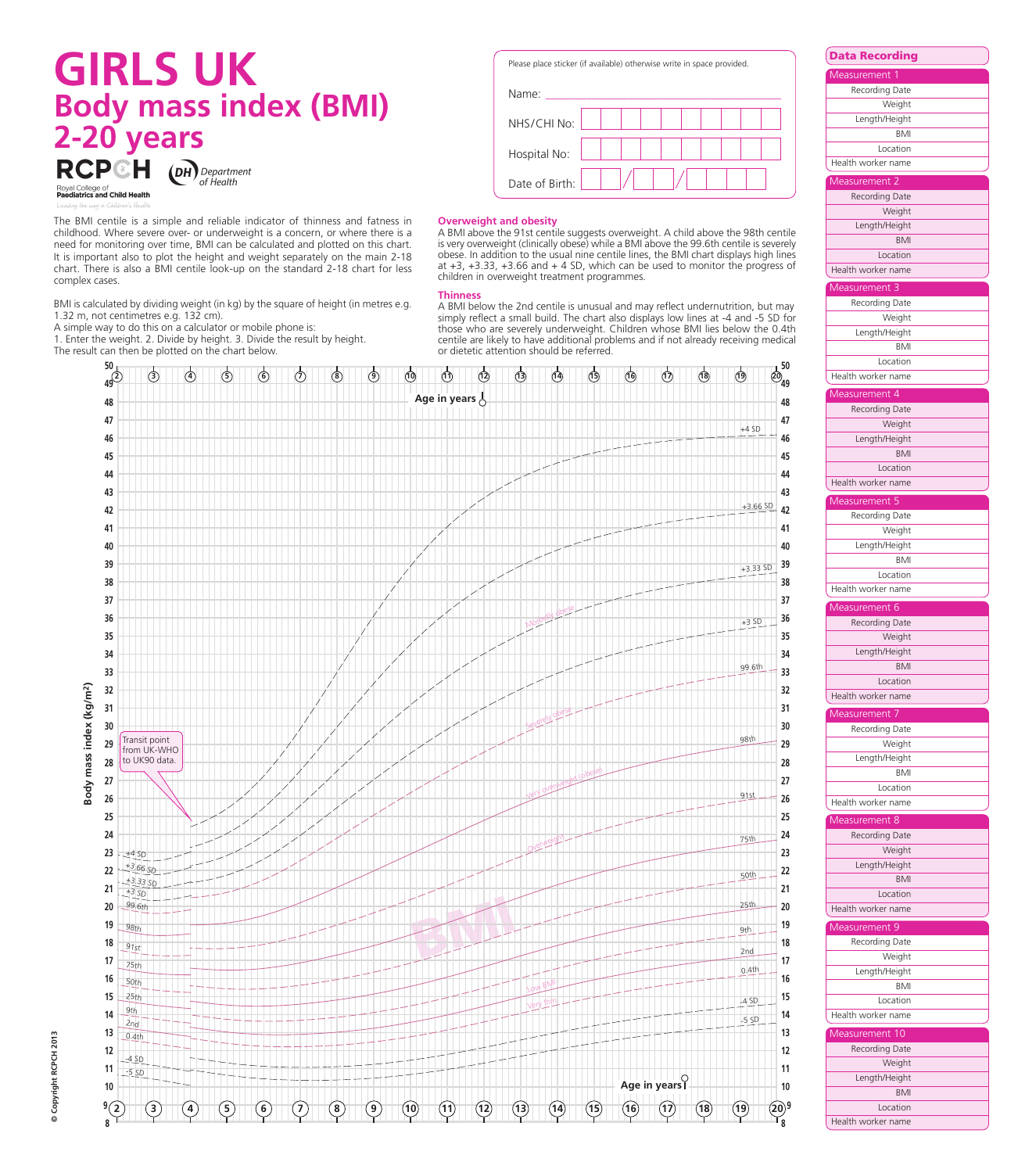# **GIRLS UK Body mass index (BMI) 2-20 years DH** Department of Health



The BMI centile is a simple and reliable indicator of thinness and fatness in childhood. Where severe over- or underweight is a concern, or where there is a need for monitoring over time, BMI can be calculated and plotted on this chart. It is important also to plot the height and weight separately on the main 2-18 chart. There is also a BMI centile look-up on the standard 2-18 chart for less complex cases.

BMI is calculated by dividing weight (in kg) by the square of height (in metres e.g. 1.32 m, not centimetres e.g. 132 cm).

A simple way to do this on a calculator or mobile phone is:

1. Enter the weight. 2. Divide by height. 3. Divide the result by height. The result can then be plotted on the chart below.

Please place sticker (if available) otherwise write in space provided.



# **Overweight and obesity**

A BMI above the 91st centile suggests overweight. A child above the 98th centile is very overweight (clinically obese) while a BMI above the 99.6th centile is severely obese. In addition to the usual nine centile lines, the BMI chart displays high lines at +3, +3.33, +3.66 and + 4 SD, which can be used to monitor the progress of children in overweight treatment programmes.

### **Thinness**

A BMI below the 2nd centile is unusual and may reflect undernutrition, but may simply reflect a small build. The chart also displays low lines at -4 and -5 SD for those who are severely underweight. Children whose BMI lies below the 0.4th centile are likely to have additional problems and if not already receiving medical or dietetic attention should be referred.



Recording Date **Weight** Length/Height BMI Location Health worker name asurement Recording Date **Weight** Length/Height BMI Location Health worker name surement<sup>3</sup> Recording Date **Weight** Length/Height BMI Location Health worker name Measurement 5 Recording Date **Weight** Length/Height BMI Location Health worker name Measurement 7 Recording Date **Weight** Length/Height  $\overline{BM}$ **Location** Health worker name surement ! asurement 2 Recording Date Weight Length/Height **BMI Location** Health worker name Measurement 4 Recording Date Weight Length/Height BMI Location Health worker name asurement 6 Recording Date **Weight** Length/Height BMI Location Health worker name surement & Recording Date Weight Length/Height BMI Location Health worker name asurement 10 Recording Date **Weight** Length/Height BMI Location Health worker name

**Data Recording**